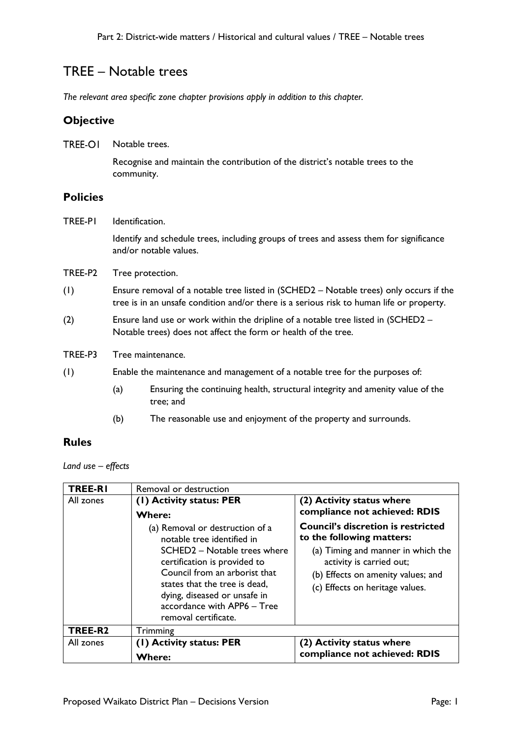# TREE – Notable trees

*The relevant area specific zone chapter provisions apply in addition to this chapter.*

### **Objective**

**TREE-OI** Notable trees. Recognise and maintain the contribution of the district's notable trees to the community.

## **Policies**

TREE-P1 Identification.

Identify and schedule trees, including groups of trees and assess them for significance and/or notable values.

- TREE-P2 Tree protection.
- (1) Ensure removal of a notable tree listed in (SCHED2 Notable trees) only occurs if the tree is in an unsafe condition and/or there is a serious risk to human life or property.
- (2) Ensure land use or work within the dripline of a notable tree listed in (SCHED2 Notable trees) does not affect the form or health of the tree.
- TREE-P3 Tree maintenance.
- (1) Enable the maintenance and management of a notable tree for the purposes of:
	- (a) Ensuring the continuing health, structural integrity and amenity value of the tree; and
	- (b) The reasonable use and enjoyment of the property and surrounds.

#### **Rules**

*Land use – effects*

| <b>TREE-RI</b>      | Removal or destruction                                                                                                                                                                                                                                                                                                              |                                                                                                                                                                                                                                                                                 |
|---------------------|-------------------------------------------------------------------------------------------------------------------------------------------------------------------------------------------------------------------------------------------------------------------------------------------------------------------------------------|---------------------------------------------------------------------------------------------------------------------------------------------------------------------------------------------------------------------------------------------------------------------------------|
| All zones           | (1) Activity status: PER<br><b>Where:</b><br>(a) Removal or destruction of a<br>notable tree identified in<br>SCHED2 - Notable trees where<br>certification is provided to<br>Council from an arborist that<br>states that the tree is dead,<br>dying, diseased or unsafe in<br>accordance with APP6 - Tree<br>removal certificate. | (2) Activity status where<br>compliance not achieved: RDIS<br><b>Council's discretion is restricted</b><br>to the following matters:<br>(a) Timing and manner in which the<br>activity is carried out;<br>(b) Effects on amenity values; and<br>(c) Effects on heritage values. |
| TREE-R <sub>2</sub> | Trimming                                                                                                                                                                                                                                                                                                                            |                                                                                                                                                                                                                                                                                 |
| All zones           | (1) Activity status: PER<br><b>Where:</b>                                                                                                                                                                                                                                                                                           | (2) Activity status where<br>compliance not achieved: RDIS                                                                                                                                                                                                                      |